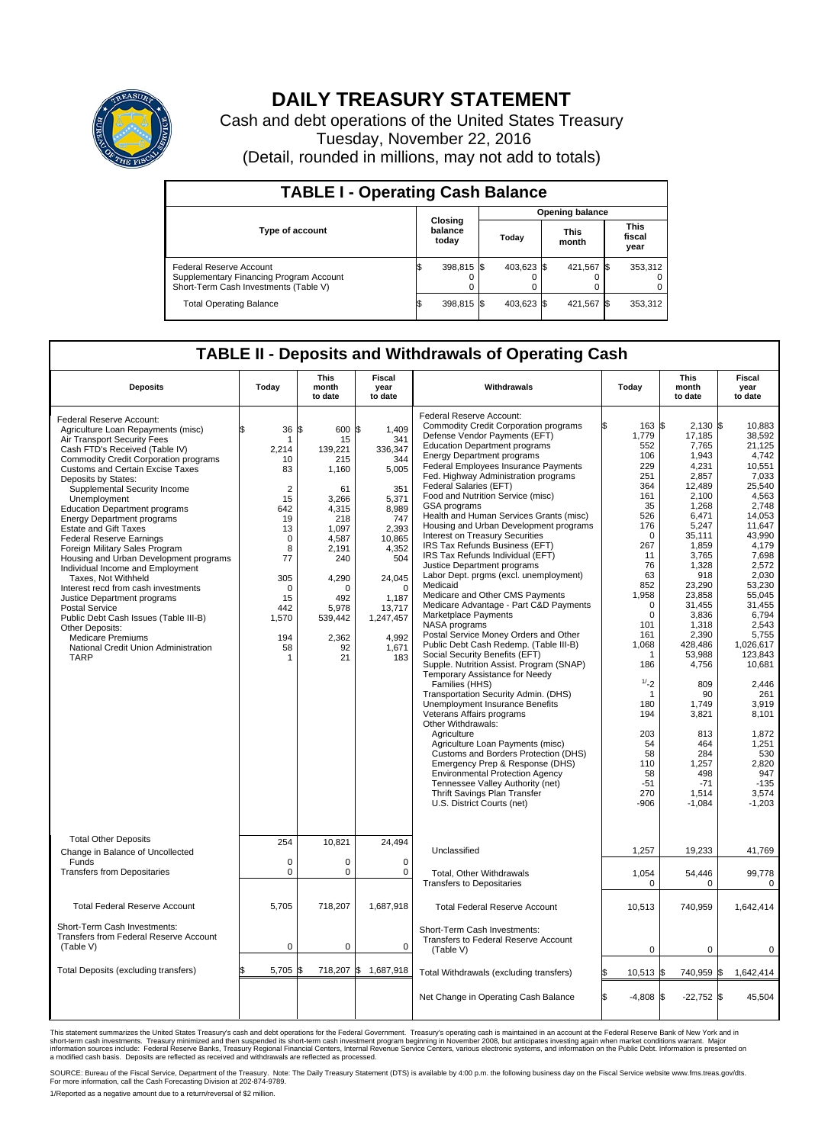

## **DAILY TREASURY STATEMENT**

Cash and debt operations of the United States Treasury Tuesday, November 22, 2016 (Detail, rounded in millions, may not add to totals)

| <b>TABLE I - Operating Cash Balance</b>                                                                     |     |                             |                        |            |  |                      |  |                               |  |  |  |
|-------------------------------------------------------------------------------------------------------------|-----|-----------------------------|------------------------|------------|--|----------------------|--|-------------------------------|--|--|--|
|                                                                                                             |     |                             | <b>Opening balance</b> |            |  |                      |  |                               |  |  |  |
| <b>Type of account</b>                                                                                      |     | Closing<br>balance<br>today |                        | Today      |  | <b>This</b><br>month |  | <b>This</b><br>fiscal<br>year |  |  |  |
| Federal Reserve Account<br>Supplementary Financing Program Account<br>Short-Term Cash Investments (Table V) |     | 398,815 \$                  |                        | 403.623 \$ |  | 421,567 \$           |  | 353,312                       |  |  |  |
| <b>Total Operating Balance</b>                                                                              | I\$ | 398,815 \$                  |                        | 403,623 \$ |  | 421,567 \$           |  | 353,312                       |  |  |  |

## **TABLE II - Deposits and Withdrawals of Operating Cash**

| <b>Deposits</b>                                                                                                                                                                                                                                                                                                                                                                                                                                                                                                                                                                                                                                                                                                                                                                                                                 | Today                                                                                                                                                                  | <b>This</b><br>month<br>to date                                                                                                                                           | <b>Fiscal</b><br>year<br>to date                                                                                                                                                                   | Withdrawals                                                                                                                                                                                                                                                                                                                                                                                                                                                                                                                                                                                                                                                                                                                                                                                                                                                                                                                                                                                                                                                                                                                                                                                                                                                                                                                                                                                               | Today                                                                                                                                                                                                                                                                                            | <b>This</b><br>month<br>to date                                                                                                                                                                                                                                                                                                             | Fiscal<br>year<br>to date                                                                                                                                                                                                                                                                                                                                 |
|---------------------------------------------------------------------------------------------------------------------------------------------------------------------------------------------------------------------------------------------------------------------------------------------------------------------------------------------------------------------------------------------------------------------------------------------------------------------------------------------------------------------------------------------------------------------------------------------------------------------------------------------------------------------------------------------------------------------------------------------------------------------------------------------------------------------------------|------------------------------------------------------------------------------------------------------------------------------------------------------------------------|---------------------------------------------------------------------------------------------------------------------------------------------------------------------------|----------------------------------------------------------------------------------------------------------------------------------------------------------------------------------------------------|-----------------------------------------------------------------------------------------------------------------------------------------------------------------------------------------------------------------------------------------------------------------------------------------------------------------------------------------------------------------------------------------------------------------------------------------------------------------------------------------------------------------------------------------------------------------------------------------------------------------------------------------------------------------------------------------------------------------------------------------------------------------------------------------------------------------------------------------------------------------------------------------------------------------------------------------------------------------------------------------------------------------------------------------------------------------------------------------------------------------------------------------------------------------------------------------------------------------------------------------------------------------------------------------------------------------------------------------------------------------------------------------------------------|--------------------------------------------------------------------------------------------------------------------------------------------------------------------------------------------------------------------------------------------------------------------------------------------------|---------------------------------------------------------------------------------------------------------------------------------------------------------------------------------------------------------------------------------------------------------------------------------------------------------------------------------------------|-----------------------------------------------------------------------------------------------------------------------------------------------------------------------------------------------------------------------------------------------------------------------------------------------------------------------------------------------------------|
| Federal Reserve Account:<br>Agriculture Loan Repayments (misc)<br>Air Transport Security Fees<br>Cash FTD's Received (Table IV)<br>Commodity Credit Corporation programs<br><b>Customs and Certain Excise Taxes</b><br>Deposits by States:<br>Supplemental Security Income<br>Unemployment<br><b>Education Department programs</b><br><b>Energy Department programs</b><br><b>Estate and Gift Taxes</b><br><b>Federal Reserve Earnings</b><br>Foreign Military Sales Program<br>Housing and Urban Development programs<br>Individual Income and Employment<br>Taxes, Not Withheld<br>Interest recd from cash investments<br>Justice Department programs<br><b>Postal Service</b><br>Public Debt Cash Issues (Table III-B)<br>Other Deposits:<br><b>Medicare Premiums</b><br>National Credit Union Administration<br><b>TARP</b> | 36<br>\$<br>-1<br>2.214<br>10<br>83<br>$\overline{2}$<br>15<br>642<br>19<br>13<br>$\mathbf 0$<br>8<br>77<br>305<br>$\mathbf 0$<br>15<br>442<br>1,570<br>194<br>58<br>1 | \$<br>600<br>15<br>139.221<br>215<br>1,160<br>61<br>3,266<br>4,315<br>218<br>1.097<br>4,587<br>2,191<br>240<br>4,290<br>O<br>492<br>5,978<br>539,442<br>2,362<br>92<br>21 | \$<br>1,409<br>341<br>336,347<br>344<br>5,005<br>351<br>5,371<br>8,989<br>747<br>2,393<br>10,865<br>4,352<br>504<br>24,045<br>$\mathbf 0$<br>1.187<br>13,717<br>1,247,457<br>4,992<br>1,671<br>183 | Federal Reserve Account:<br><b>Commodity Credit Corporation programs</b><br>Defense Vendor Payments (EFT)<br><b>Education Department programs</b><br><b>Energy Department programs</b><br><b>Federal Employees Insurance Payments</b><br>Fed. Highway Administration programs<br>Federal Salaries (EFT)<br>Food and Nutrition Service (misc)<br><b>GSA</b> programs<br>Health and Human Services Grants (misc)<br>Housing and Urban Development programs<br>Interest on Treasury Securities<br>IRS Tax Refunds Business (EFT)<br>IRS Tax Refunds Individual (EFT)<br>Justice Department programs<br>Labor Dept. prgms (excl. unemployment)<br>Medicaid<br>Medicare and Other CMS Payments<br>Medicare Advantage - Part C&D Payments<br>Marketplace Payments<br>NASA programs<br>Postal Service Money Orders and Other<br>Public Debt Cash Redemp. (Table III-B)<br>Social Security Benefits (EFT)<br>Supple. Nutrition Assist. Program (SNAP)<br>Temporary Assistance for Needy<br>Families (HHS)<br>Transportation Security Admin. (DHS)<br>Unemployment Insurance Benefits<br>Veterans Affairs programs<br>Other Withdrawals:<br>Agriculture<br>Agriculture Loan Payments (misc)<br>Customs and Borders Protection (DHS)<br>Emergency Prep & Response (DHS)<br><b>Environmental Protection Agency</b><br>Tennessee Valley Authority (net)<br>Thrift Savings Plan Transfer<br>U.S. District Courts (net) | 163S<br>1,779<br>552<br>106<br>229<br>251<br>364<br>161<br>35<br>526<br>176<br>$\Omega$<br>267<br>11<br>76<br>63<br>852<br>1,958<br>$\mathbf 0$<br>$\mathbf 0$<br>101<br>161<br>1,068<br>-1<br>186<br>1/2<br>$\mathbf 1$<br>180<br>194<br>203<br>54<br>58<br>110<br>58<br>$-51$<br>270<br>$-906$ | $2.130$ \$<br>17,185<br>7,765<br>1,943<br>4,231<br>2,857<br>12,489<br>2.100<br>1,268<br>6,471<br>5,247<br>35,111<br>1.859<br>3,765<br>1,328<br>918<br>23,290<br>23,858<br>31,455<br>3,836<br>1,318<br>2,390<br>428,486<br>53.988<br>4,756<br>809<br>90<br>1,749<br>3,821<br>813<br>464<br>284<br>1,257<br>498<br>$-71$<br>1,514<br>$-1,084$ | 10.883<br>38.592<br>21,125<br>4,742<br>10,551<br>7.033<br>25,540<br>4,563<br>2.748<br>14,053<br>11,647<br>43,990<br>4.179<br>7,698<br>2,572<br>2,030<br>53,230<br>55,045<br>31,455<br>6,794<br>2,543<br>5,755<br>1.026.617<br>123.843<br>10,681<br>2.446<br>261<br>3,919<br>8,101<br>1,872<br>1,251<br>530<br>2,820<br>947<br>$-135$<br>3.574<br>$-1,203$ |
| <b>Total Other Deposits</b><br>Change in Balance of Uncollected                                                                                                                                                                                                                                                                                                                                                                                                                                                                                                                                                                                                                                                                                                                                                                 | 254                                                                                                                                                                    | 10,821                                                                                                                                                                    | 24,494                                                                                                                                                                                             | Unclassified                                                                                                                                                                                                                                                                                                                                                                                                                                                                                                                                                                                                                                                                                                                                                                                                                                                                                                                                                                                                                                                                                                                                                                                                                                                                                                                                                                                              | 1,257                                                                                                                                                                                                                                                                                            | 19,233                                                                                                                                                                                                                                                                                                                                      | 41,769                                                                                                                                                                                                                                                                                                                                                    |
| Funds<br><b>Transfers from Depositaries</b>                                                                                                                                                                                                                                                                                                                                                                                                                                                                                                                                                                                                                                                                                                                                                                                     | $\mathbf 0$<br>$\mathbf 0$                                                                                                                                             | $\Omega$<br>0                                                                                                                                                             | $\Omega$<br>$\mathbf 0$                                                                                                                                                                            | Total, Other Withdrawals<br><b>Transfers to Depositaries</b>                                                                                                                                                                                                                                                                                                                                                                                                                                                                                                                                                                                                                                                                                                                                                                                                                                                                                                                                                                                                                                                                                                                                                                                                                                                                                                                                              | 1,054<br>$\mathbf 0$                                                                                                                                                                                                                                                                             | 54,446<br>0                                                                                                                                                                                                                                                                                                                                 | 99,778<br>$\mathbf 0$                                                                                                                                                                                                                                                                                                                                     |
| <b>Total Federal Reserve Account</b>                                                                                                                                                                                                                                                                                                                                                                                                                                                                                                                                                                                                                                                                                                                                                                                            | 5,705                                                                                                                                                                  | 718,207                                                                                                                                                                   | 1,687,918                                                                                                                                                                                          | <b>Total Federal Reserve Account</b>                                                                                                                                                                                                                                                                                                                                                                                                                                                                                                                                                                                                                                                                                                                                                                                                                                                                                                                                                                                                                                                                                                                                                                                                                                                                                                                                                                      | 10,513                                                                                                                                                                                                                                                                                           | 740,959                                                                                                                                                                                                                                                                                                                                     | 1,642,414                                                                                                                                                                                                                                                                                                                                                 |
| Short-Term Cash Investments:<br>Transfers from Federal Reserve Account<br>(Table V)                                                                                                                                                                                                                                                                                                                                                                                                                                                                                                                                                                                                                                                                                                                                             | 0                                                                                                                                                                      | 0                                                                                                                                                                         | $\mathbf 0$                                                                                                                                                                                        | Short-Term Cash Investments:<br>Transfers to Federal Reserve Account<br>(Table V)                                                                                                                                                                                                                                                                                                                                                                                                                                                                                                                                                                                                                                                                                                                                                                                                                                                                                                                                                                                                                                                                                                                                                                                                                                                                                                                         | $\mathbf 0$                                                                                                                                                                                                                                                                                      | $\mathbf 0$                                                                                                                                                                                                                                                                                                                                 | $\mathbf 0$                                                                                                                                                                                                                                                                                                                                               |
| Total Deposits (excluding transfers)                                                                                                                                                                                                                                                                                                                                                                                                                                                                                                                                                                                                                                                                                                                                                                                            | 5,705<br>\$                                                                                                                                                            | \$                                                                                                                                                                        | 718,207 \$ 1,687,918                                                                                                                                                                               | Total Withdrawals (excluding transfers)                                                                                                                                                                                                                                                                                                                                                                                                                                                                                                                                                                                                                                                                                                                                                                                                                                                                                                                                                                                                                                                                                                                                                                                                                                                                                                                                                                   | 10,513 \$                                                                                                                                                                                                                                                                                        | 740,959                                                                                                                                                                                                                                                                                                                                     | 1\$<br>1,642,414                                                                                                                                                                                                                                                                                                                                          |
|                                                                                                                                                                                                                                                                                                                                                                                                                                                                                                                                                                                                                                                                                                                                                                                                                                 |                                                                                                                                                                        |                                                                                                                                                                           |                                                                                                                                                                                                    | Net Change in Operating Cash Balance                                                                                                                                                                                                                                                                                                                                                                                                                                                                                                                                                                                                                                                                                                                                                                                                                                                                                                                                                                                                                                                                                                                                                                                                                                                                                                                                                                      | Ŝ.<br>$-4.808$ \$                                                                                                                                                                                                                                                                                | $-22,752$ \$                                                                                                                                                                                                                                                                                                                                | 45.504                                                                                                                                                                                                                                                                                                                                                    |

This statement summarizes the United States Treasury's cash and debt operations for the Federal Government. Treasury's operating cash is maintained in an account at the Federal Reserve Bank of New York and in<br>short-term ca

SOURCE: Bureau of the Fiscal Service, Department of the Treasury. Note: The Daily Treasury Statement (DTS) is available by 4:00 p.m. the following business day on the Fiscal Service website www.fms.treas.gov/dts.<br>For more

1/Reported as a negative amount due to a return/reversal of \$2 million.